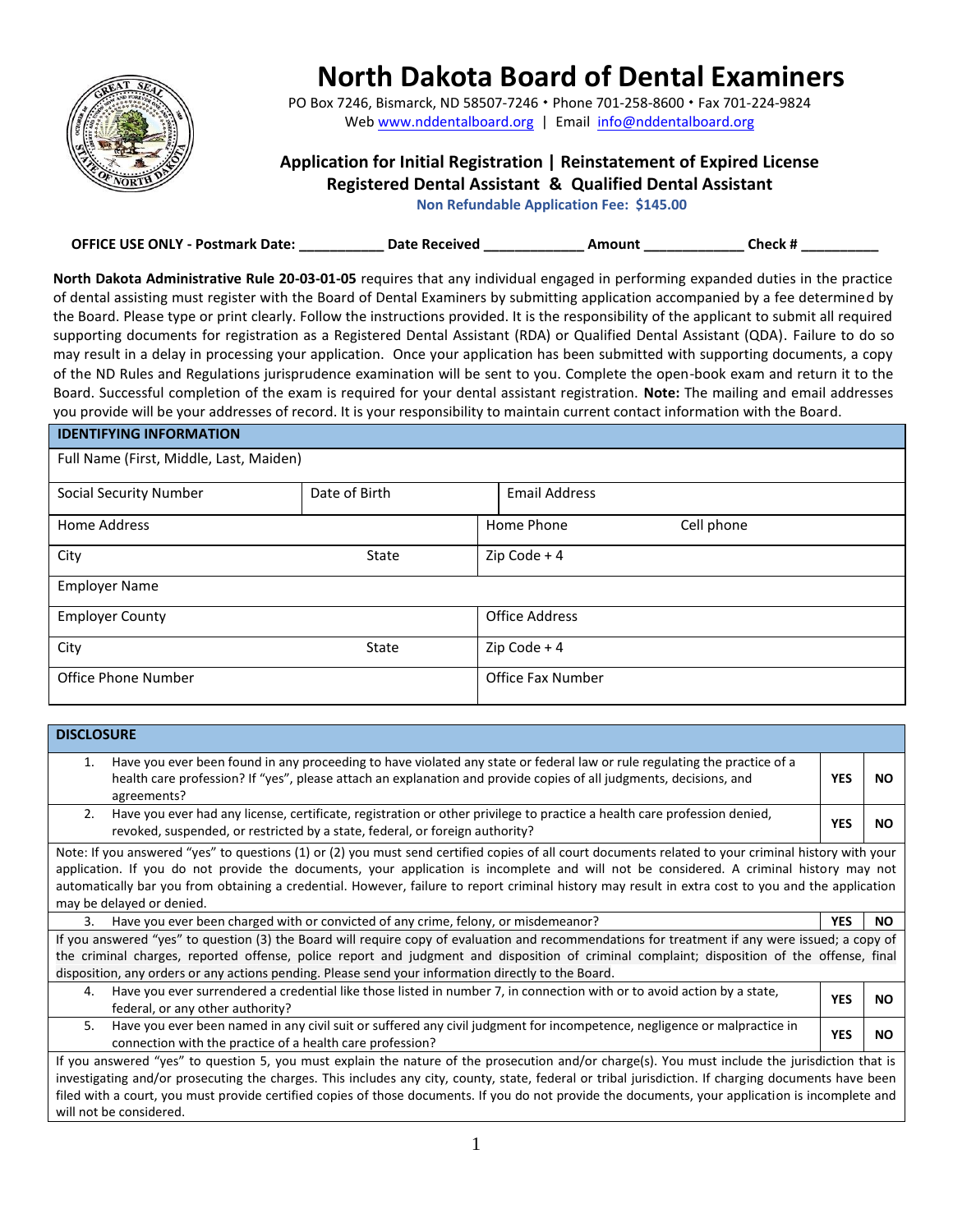

## **North Dakota Board of Dental Examiners**

PO Box 7246, Bismarck, ND 58507-7246 · Phon[e 701-258-8600](mailto:ndsbde@aptnd.com) · Fax 701-224-9824 Web www.nddentalboard.org | Email info@nddentalboard.org

## **Application for Initial Registration | Reinstatement of Expired License Registered Dental Assistant & Qualified Dental Assistant**

**Non Refundable Application Fee: \$145.00** 

| <b>OFFICE USE ONLY - Postmark Date:</b> | <b>Date Received</b> | Amount | Check # |
|-----------------------------------------|----------------------|--------|---------|
|                                         |                      |        |         |

**North Dakota Administrative Rule 20-03-01-05** requires that any individual engaged in performing expanded duties in the practice of dental assisting must register with the Board of Dental Examiners by submitting application accompanied by a fee determined by the Board. Please type or print clearly. Follow the instructions provided. It is the responsibility of the applicant to submit all required supporting documents for registration as a Registered Dental Assistant (RDA) or Qualified Dental Assistant (QDA). Failure to do so may result in a delay in processing your application. Once your application has been submitted with supporting documents, a copy of the ND Rules and Regulations jurisprudence examination will be sent to you. Complete the open-book exam and return it to the Board. Successful completion of the exam is required for your dental assistant registration. **Note:** The mailing and email addresses you provide will be your addresses of record. It is your responsibility to maintain current contact information with the Board.

| <b>IDENTIFYING INFORMATION</b>          |               |                          |  |
|-----------------------------------------|---------------|--------------------------|--|
| Full Name (First, Middle, Last, Maiden) |               |                          |  |
| <b>Social Security Number</b>           | Date of Birth | <b>Email Address</b>     |  |
| <b>Home Address</b>                     |               | Home Phone<br>Cell phone |  |
| City                                    | <b>State</b>  | Zip Code $+4$            |  |
| <b>Employer Name</b>                    |               |                          |  |
| <b>Employer County</b>                  |               | <b>Office Address</b>    |  |
| City                                    | <b>State</b>  | Zip Code $+4$            |  |
| <b>Office Phone Number</b>              |               | <b>Office Fax Number</b> |  |

| <b>DISCLOSURE</b>                                                                                                                                                                                                                                                                                                                                                                                                                                                                       |            |     |
|-----------------------------------------------------------------------------------------------------------------------------------------------------------------------------------------------------------------------------------------------------------------------------------------------------------------------------------------------------------------------------------------------------------------------------------------------------------------------------------------|------------|-----|
| Have you ever been found in any proceeding to have violated any state or federal law or rule regulating the practice of a<br>1.<br>health care profession? If "yes", please attach an explanation and provide copies of all judgments, decisions, and<br>agreements?                                                                                                                                                                                                                    |            | NO. |
| Have you ever had any license, certificate, registration or other privilege to practice a health care profession denied,<br>2.<br>revoked, suspended, or restricted by a state, federal, or foreign authority?                                                                                                                                                                                                                                                                          | <b>YES</b> | NO. |
| Note: If you answered "yes" to questions (1) or (2) you must send certified copies of all court documents related to your criminal history with your<br>application. If you do not provide the documents, your application is incomplete and will not be considered. A criminal history may not<br>automatically bar you from obtaining a credential. However, failure to report criminal history may result in extra cost to you and the application<br>may be delayed or denied.      |            |     |
| Have you ever been charged with or convicted of any crime, felony, or misdemeanor?<br>3.                                                                                                                                                                                                                                                                                                                                                                                                | <b>YES</b> | NO. |
| If you answered "yes" to question (3) the Board will require copy of evaluation and recommendations for treatment if any were issued; a copy of<br>the criminal charges, reported offense, police report and judgment and disposition of criminal complaint; disposition of the offense, final<br>disposition, any orders or any actions pending. Please send your information directly to the Board.                                                                                   |            |     |
| Have you ever surrendered a credential like those listed in number 7, in connection with or to avoid action by a state,<br>4.<br>federal, or any other authority?                                                                                                                                                                                                                                                                                                                       | <b>YES</b> | NO. |
| Have you ever been named in any civil suit or suffered any civil judgment for incompetence, negligence or malpractice in<br>5.<br>connection with the practice of a health care profession?                                                                                                                                                                                                                                                                                             | <b>YES</b> | NO. |
| If you answered "yes" to question 5, you must explain the nature of the prosecution and/or charge(s). You must include the jurisdiction that is<br>investigating and/or prosecuting the charges. This includes any city, county, state, federal or tribal jurisdiction. If charging documents have been<br>filed with a court, you must provide certified copies of those documents. If you do not provide the documents, your application is incomplete and<br>will not be considered. |            |     |